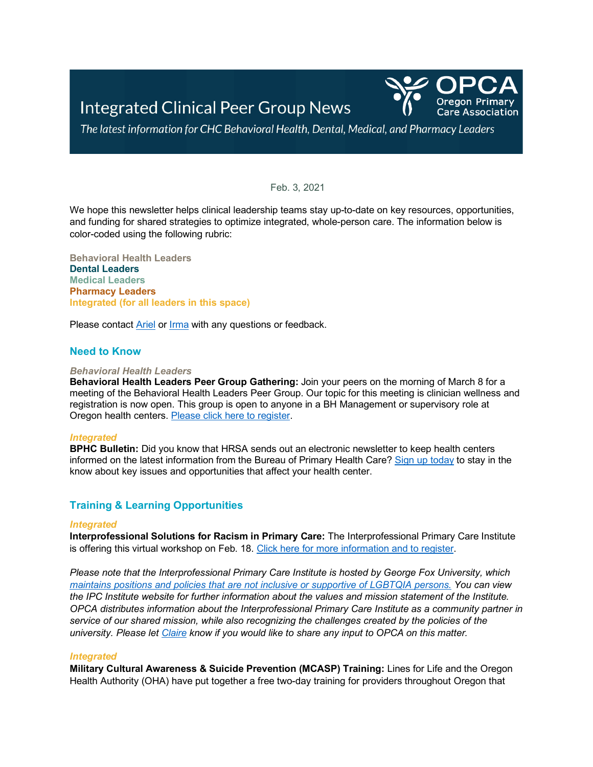

The latest information for CHC Behavioral Health, Dental, Medical, and Pharmacy Leaders

## Feb. 3, 2021

We hope this newsletter helps clinical leadership teams stay up-to-date on key resources, opportunities, and funding for shared strategies to optimize integrated, whole-person care. The information below is color-coded using the following rubric:

**Behavioral Health Leaders Dental Leaders Medical Leaders Pharmacy Leaders Integrated (for all leaders in this space)**

Please contact **Ariel or [Irma](mailto:imurauskas@orpca.org)** with any questions or feedback.

# **Need to Know**

#### *Behavioral Health Leaders*

**Behavioral Health Leaders Peer Group Gathering:** Join your peers on the morning of March 8 for a meeting of the Behavioral Health Leaders Peer Group. Our topic for this meeting is clinician wellness and registration is now open. This group is open to anyone in a BH Management or supervisory role at Oregon health centers. [Please click here to register.](https://www.eventbrite.com/e/fqhc-behavioral-health-leaders-peer-group-virtual-gathering-registration-138338705793)

## *Integrated*

**BPHC Bulletin:** Did you know that HRSA sends out an electronic newsletter to keep health centers informed on the latest information from the Bureau of Primary Health Care[? Sign up today](https://public.govdelivery.com/accounts/USHHSHRSA/subscriber/new?topic_id=ENEWS) to stay in the know about key issues and opportunities that affect your health center.

# **Training & Learning Opportunities**

#### *Integrated*

**Interprofessional Solutions for Racism in Primary Care:** The Interprofessional Primary Care Institute is offering this virtual workshop on Feb. 18. [Click here for more information and to register.](https://sites.google.com/marianoandassociates.com/ipc-institute/events/interprofessional-educationtraining-cme/racism-feb-2021)

*Please note that the Interprofessional Primary Care Institute is hosted by George Fox University, which [maintains positions and policies that are not inclusive or supportive of LGBTQIA persons.](https://www.georgefox.edu/offices/hr/lifestyle-statement.html) You can view the IPC Institute website for further information about the values and mission statement of the Institute. OPCA distributes information about the Interprofessional Primary Care Institute as a community partner in service of our shared mission, while also recognizing the challenges created by the policies of the university. Please let [Claire](mailto:ctranchese@orpca.org) know if you would like to share any input to OPCA on this matter.* 

## *Integrated*

**Military Cultural Awareness & Suicide Prevention (MCASP) Training:** Lines for Life and the Oregon Health Authority (OHA) have put together a free two-day training for providers throughout Oregon that